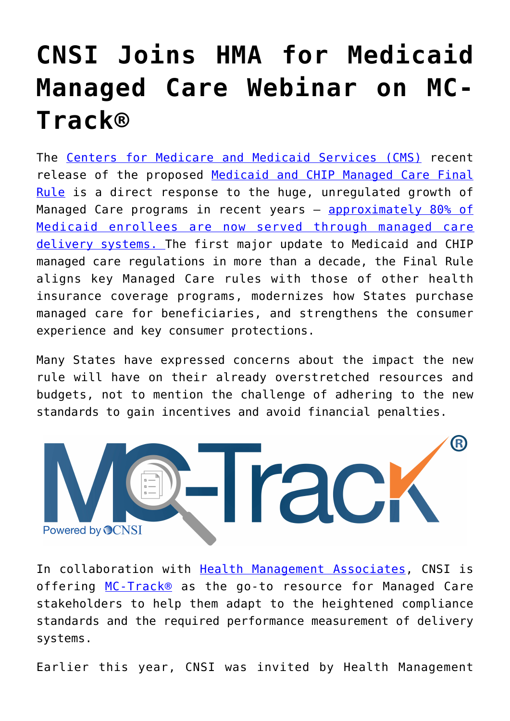## **[CNSI Joins HMA for Medicaid](https://www.cns-inc.com/insights/thought-leadership/cnsi-joins-hma-for-medicaid-managed-care-webinar-on-mc-track/) [Managed Care Webinar on MC-](https://www.cns-inc.com/insights/thought-leadership/cnsi-joins-hma-for-medicaid-managed-care-webinar-on-mc-track/)[Track®](https://www.cns-inc.com/insights/thought-leadership/cnsi-joins-hma-for-medicaid-managed-care-webinar-on-mc-track/)**

The [Centers for Medicare and Medicaid Services \(CMS\)](https://www.cms.gov/) recent release of the proposed [Medicaid and CHIP Managed Care Final](https://www.federalregister.gov/articles/2016/05/06/2016-09581/medicaid-and-childrens-health-insurance-program-chip-programs-medicaid-managed-care-chip-delivered) [Rule](https://www.federalregister.gov/articles/2016/05/06/2016-09581/medicaid-and-childrens-health-insurance-program-chip-programs-medicaid-managed-care-chip-delivered) is a direct response to the huge, unregulated growth of Managed Care programs in recent years - **[approximately 80% of](https://www.medicaid.gov/medicaid-chip-program-information/by-topics/delivery-systems/managed-care/managed-care-site.html)** [Medicaid enrollees are now served through managed care](https://www.medicaid.gov/medicaid-chip-program-information/by-topics/delivery-systems/managed-care/managed-care-site.html) [delivery systems. T](https://www.medicaid.gov/medicaid-chip-program-information/by-topics/delivery-systems/managed-care/managed-care-site.html)he first major update to Medicaid and CHIP managed care regulations in more than a decade, the Final Rule aligns key Managed Care rules with those of other health insurance coverage programs, modernizes how States purchase managed care for beneficiaries, and strengthens the consumer experience and key consumer protections.

Many States have expressed concerns about the impact the new rule will have on their already overstretched resources and budgets, not to mention the challenge of adhering to the new standards to gain incentives and avoid financial penalties.



In collaboration with [Health Management Associates,](https://www.healthmanagement.com/) CNSI is offering [MC-Track®](https://www.cns-inc.com/sites/default/files/cnsi_mctrack.pdf) as the go-to resource for Managed Care stakeholders to help them adapt to the heightened compliance standards and the required performance measurement of delivery systems.

Earlier this year, CNSI was invited by Health Management